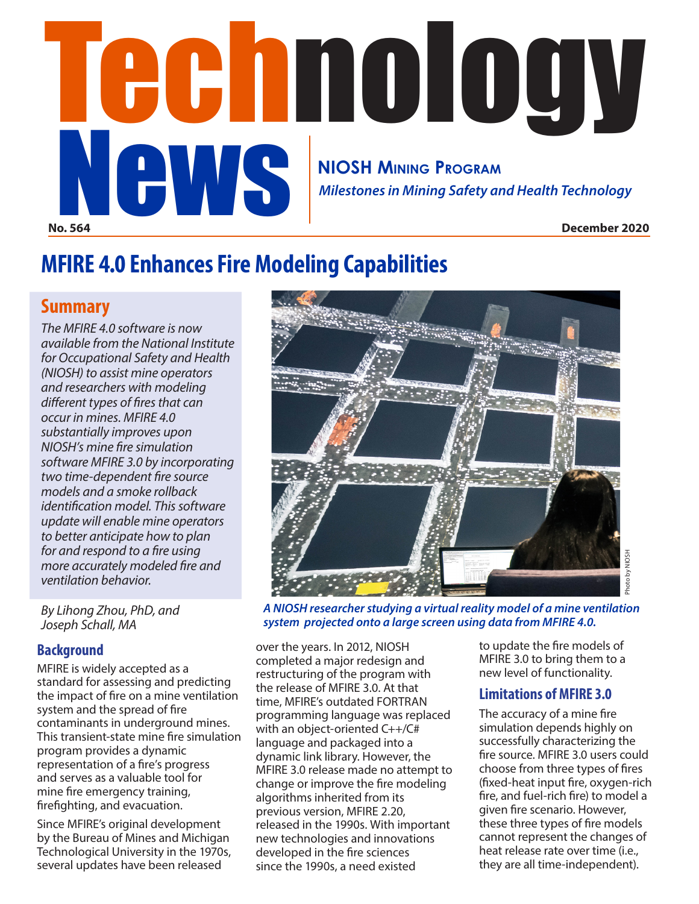# **No. 564 December 2020** *Milestones in Mining Safety and Health Technology* **NIOSH MINING PROGRAM** NEWS NICH MINING PROGRAM<br>Milestones in Mining Safety and Health Technology

# **MFIRE 4.0 Enhances Fire Modeling Capabilities**

## **Summary**

*The MFIRE 4.0 software is now available from the National Institute for Occupational Safety and Health (NIOSH) to assist mine operators and researchers with modeling different types of fires that can occur in mines. MFIRE 4.0 substantially improves upon NIOSH's mine fire simulation software MFIRE 3.0 by incorporating two time-dependent fire source models and a smoke rollback identification model. This software update will enable mine operators to better anticipate how to plan for and respond to a fire using more accurately modeled fire and ventilation behavior.*

*By Lihong Zhou, PhD, and Joseph Schall, MA*

### **Background**

MFIRE is widely accepted as a standard for assessing and predicting the impact of fire on a mine ventilation system and the spread of fire contaminants in underground mines. This transient-state mine fire simulation program provides a dynamic representation of a fire's progress and serves as a valuable tool for mine fire emergency training, firefighting, and evacuation.

Since MFIRE's original development by the Bureau of Mines and Michigan Technological University in the 1970s, several updates have been released



*A NIOSH researcher studying a virtual reality model of a mine ventilation system projected onto a large screen using data from MFIRE 4.0.*

over the years. In 2012, NIOSH completed a major redesign and restructuring of the program with the release of MFIRE 3.0. At that time, MFIRE's outdated FORTRAN programming language was replaced with an object-oriented C++/C# language and packaged into a dynamic link library. However, the MFIRE 3.0 release made no attempt to change or improve the fire modeling algorithms inherited from its previous version, MFIRE 2.20, released in the 1990s. With important new technologies and innovations developed in the fire sciences since the 1990s, a need existed

to update the fire models of MFIRE 3.0 to bring them to a new level of functionality.

### **Limitations of MFIRE 3.0**

The accuracy of a mine fire simulation depends highly on successfully characterizing the fire source. MFIRE 3.0 users could choose from three types of fires (fixed-heat input fire, oxygen-rich fire, and fuel-rich fire) to model a given fire scenario. However, these three types of fire models cannot represent the changes of heat release rate over time (i.e., they are all time-independent).